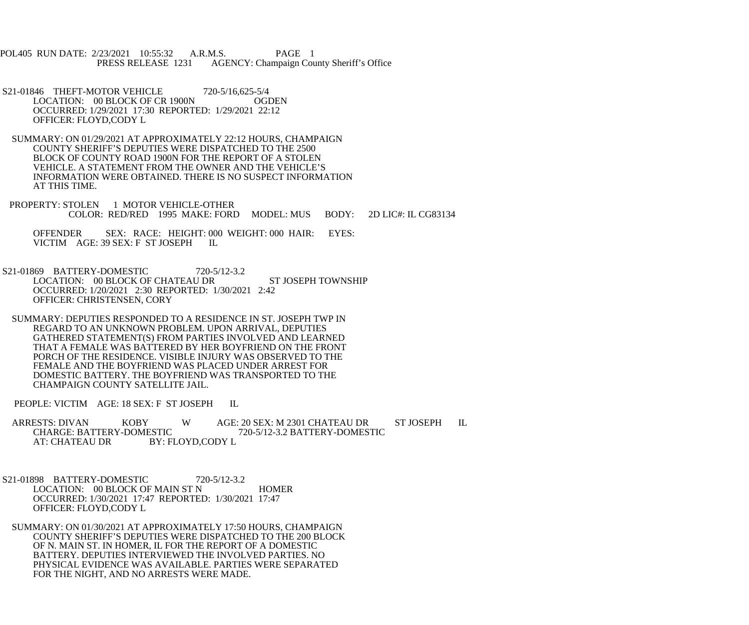POL405 RUN DATE: 2/23/2021 10:55:32 A.R.M.S. PAGE 1<br>PRESS RELEASE 1231 AGENCY: Champaign Cou AGENCY: Champaign County Sheriff's Office

S21-01846 THEFT-MOTOR VEHICLE 720-5/16,625-5/4<br>LOCATION: 00 BLOCK OF CR 1900N CGDEN LOCATION: 00 BLOCK OF CR 1900N OCCURRED: 1/29/2021 17:30 REPORTED: 1/29/2021 22:12 OFFICER: FLOYD,CODY L

 SUMMARY: ON 01/29/2021 AT APPROXIMATELY 22:12 HOURS, CHAMPAIGN COUNTY SHERIFF'S DEPUTIES WERE DISPATCHED TO THE 2500 BLOCK OF COUNTY ROAD 1900N FOR THE REPORT OF A STOLEN VEHICLE. A STATEMENT FROM THE OWNER AND THE VEHICLE'S INFORMATION WERE OBTAINED. THERE IS NO SUSPECT INFORMATION AT THIS TIME.

PROPERTY: STOLEN 1 MOTOR VEHICLE-OTHER COLOR: RED/RED 1995 MAKE: FORD MODEL: MUS BODY: 2D LIC#: IL CG83134

 OFFENDER SEX: RACE: HEIGHT: 000 WEIGHT: 000 HAIR: EYES: VICTIM AGE: 39 SEX: F ST JOSEPH IL

S21-01869 BATTERY-DOMESTIC 720-5/12-3.2 LOCATION: 00 BLOCK OF CHATEAU DR ST JOSEPH TOWNSHIP OCCURRED: 1/20/2021 2:30 REPORTED: 1/30/2021 2:42 OFFICER: CHRISTENSEN, CORY

 SUMMARY: DEPUTIES RESPONDED TO A RESIDENCE IN ST. JOSEPH TWP IN REGARD TO AN UNKNOWN PROBLEM. UPON ARRIVAL, DEPUTIES GATHERED STATEMENT(S) FROM PARTIES INVOLVED AND LEARNED THAT A FEMALE WAS BATTERED BY HER BOYFRIEND ON THE FRONT PORCH OF THE RESIDENCE. VISIBLE INJURY WAS OBSERVED TO THE FEMALE AND THE BOYFRIEND WAS PLACED UNDER ARREST FOR DOMESTIC BATTERY. THE BOYFRIEND WAS TRANSPORTED TO THE CHAMPAIGN COUNTY SATELLITE JAIL.

PEOPLE: VICTIM AGE: 18 SEX: F ST JOSEPH IL

ARRESTS: DIVAN KOBY W AGE: 20 SEX: M 2301 CHATEAU DR ST JOSEPH IL CHARGE: BATTERY-DOMESTIC 720-5/12-3.2 BATTERY-DOMESTIC CHARGE: BATTERY-DOMESTIC 720-5/12-3.2 BATTERY-DOMESTIC<br>AT: CHATEAU DR BY: FLOYD.CODY L BY: FLOYD,CODY L

 S21-01898 BATTERY-DOMESTIC 720-5/12-3.2 LOCATION: 00 BLOCK OF MAIN ST N HOMER OCCURRED: 1/30/2021 17:47 REPORTED: 1/30/2021 17:47 OFFICER: FLOYD,CODY L

 SUMMARY: ON 01/30/2021 AT APPROXIMATELY 17:50 HOURS, CHAMPAIGN COUNTY SHERIFF'S DEPUTIES WERE DISPATCHED TO THE 200 BLOCK OF N. MAIN ST. IN HOMER, IL FOR THE REPORT OF A DOMESTIC BATTERY. DEPUTIES INTERVIEWED THE INVOLVED PARTIES. NO PHYSICAL EVIDENCE WAS AVAILABLE. PARTIES WERE SEPARATED FOR THE NIGHT, AND NO ARRESTS WERE MADE.